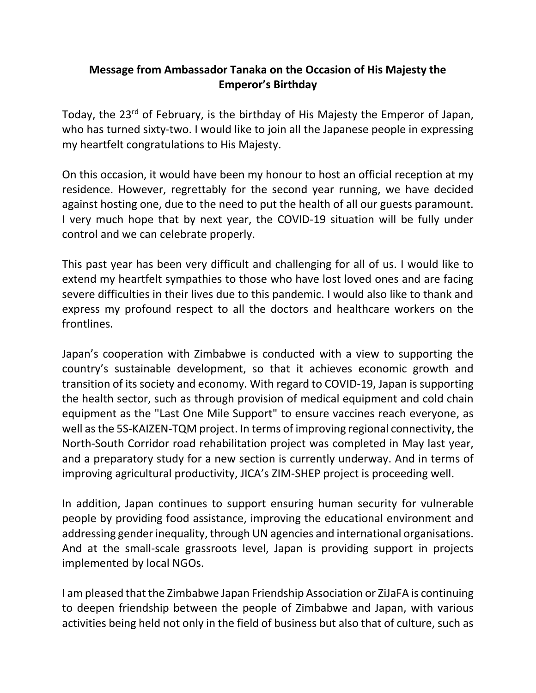## **Message from Ambassador Tanaka on the Occasion of His Majesty the Emperor's Birthday**

Today, the 23<sup>rd</sup> of February, is the birthday of His Majesty the Emperor of Japan, who has turned sixty-two. I would like to join all the Japanese people in expressing my heartfelt congratulations to His Majesty.

On this occasion, it would have been my honour to host an official reception at my residence. However, regrettably for the second year running, we have decided against hosting one, due to the need to put the health of all our guests paramount. I very much hope that by next year, the COVID-19 situation will be fully under control and we can celebrate properly.

This past year has been very difficult and challenging for all of us. I would like to extend my heartfelt sympathies to those who have lost loved ones and are facing severe difficulties in their lives due to this pandemic. I would also like to thank and express my profound respect to all the doctors and healthcare workers on the frontlines.

Japan's cooperation with Zimbabwe is conducted with a view to supporting the country's sustainable development, so that it achieves economic growth and transition of its society and economy. With regard to COVID-19, Japan is supporting the health sector, such as through provision of medical equipment and cold chain equipment as the "Last One Mile Support" to ensure vaccines reach everyone, as well asthe 5S-KAIZEN-TQM project. In terms of improving regional connectivity, the North-South Corridor road rehabilitation project was completed in May last year, and a preparatory study for a new section is currently underway. And in terms of improving agricultural productivity, JICA's ZIM-SHEP project is proceeding well.

In addition, Japan continues to support ensuring human security for vulnerable people by providing food assistance, improving the educational environment and addressing gender inequality, through UN agencies and international organisations. And at the small-scale grassroots level, Japan is providing support in projects implemented by local NGOs.

I am pleased that the Zimbabwe Japan Friendship Association or ZiJaFA is continuing to deepen friendship between the people of Zimbabwe and Japan, with various activities being held not only in the field of business but also that of culture, such as